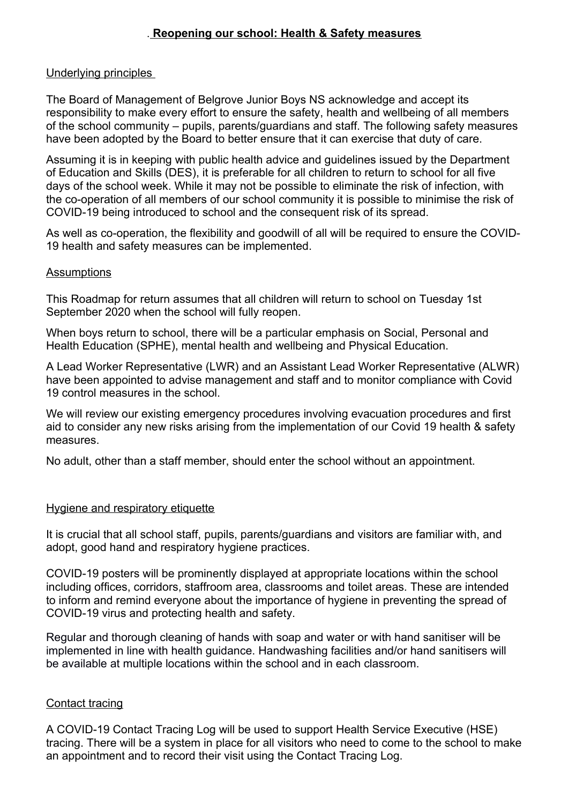# . **Reopening our school: Health & Safety measures**

## Underlying principles

The Board of Management of Belgrove Junior Boys NS acknowledge and accept its responsibility to make every effort to ensure the safety, health and wellbeing of all members of the school community – pupils, parents/guardians and staff. The following safety measures have been adopted by the Board to better ensure that it can exercise that duty of care.

Assuming it is in keeping with public health advice and guidelines issued by the Department of Education and Skills (DES), it is preferable for all children to return to school for all five days of the school week. While it may not be possible to eliminate the risk of infection, with the co-operation of all members of our school community it is possible to minimise the risk of COVID-19 being introduced to school and the consequent risk of its spread.

As well as co-operation, the flexibility and goodwill of all will be required to ensure the COVID-19 health and safety measures can be implemented.

#### **Assumptions**

This Roadmap for return assumes that all children will return to school on Tuesday 1st September 2020 when the school will fully reopen.

When boys return to school, there will be a particular emphasis on Social, Personal and Health Education (SPHE), mental health and wellbeing and Physical Education.

A Lead Worker Representative (LWR) and an Assistant Lead Worker Representative (ALWR) have been appointed to advise management and staff and to monitor compliance with Covid 19 control measures in the school.

We will review our existing emergency procedures involving evacuation procedures and first aid to consider any new risks arising from the implementation of our Covid 19 health & safety measures.

No adult, other than a staff member, should enter the school without an appointment.

### Hygiene and respiratory etiquette

It is crucial that all school staff, pupils, parents/guardians and visitors are familiar with, and adopt, good hand and respiratory hygiene practices.

COVID-19 posters will be prominently displayed at appropriate locations within the school including offices, corridors, staffroom area, classrooms and toilet areas. These are intended to inform and remind everyone about the importance of hygiene in preventing the spread of COVID-19 virus and protecting health and safety.

Regular and thorough cleaning of hands with soap and water or with hand sanitiser will be implemented in line with health guidance. Handwashing facilities and/or hand sanitisers will be available at multiple locations within the school and in each classroom.

### Contact tracing

A COVID-19 Contact Tracing Log will be used to support Health Service Executive (HSE) tracing. There will be a system in place for all visitors who need to come to the school to make an appointment and to record their visit using the Contact Tracing Log.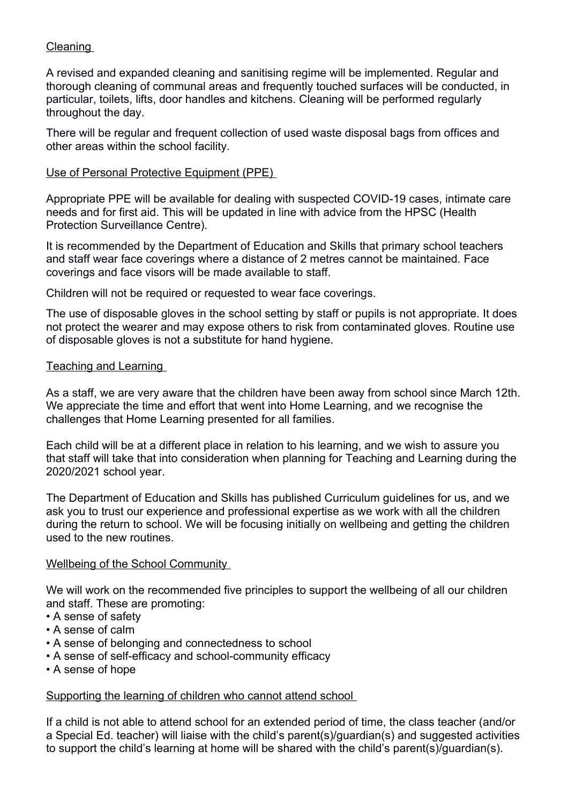# **Cleaning**

A revised and expanded cleaning and sanitising regime will be implemented. Regular and thorough cleaning of communal areas and frequently touched surfaces will be conducted, in particular, toilets, lifts, door handles and kitchens. Cleaning will be performed regularly throughout the day.

There will be regular and frequent collection of used waste disposal bags from offices and other areas within the school facility.

## Use of Personal Protective Equipment (PPE)

Appropriate PPE will be available for dealing with suspected COVID-19 cases, intimate care needs and for first aid. This will be updated in line with advice from the HPSC (Health Protection Surveillance Centre).

It is recommended by the Department of Education and Skills that primary school teachers and staff wear face coverings where a distance of 2 metres cannot be maintained. Face coverings and face visors will be made available to staff.

Children will not be required or requested to wear face coverings.

The use of disposable gloves in the school setting by staff or pupils is not appropriate. It does not protect the wearer and may expose others to risk from contaminated gloves. Routine use of disposable gloves is not a substitute for hand hygiene.

## Teaching and Learning

As a staff, we are very aware that the children have been away from school since March 12th. We appreciate the time and effort that went into Home Learning, and we recognise the challenges that Home Learning presented for all families.

Each child will be at a different place in relation to his learning, and we wish to assure you that staff will take that into consideration when planning for Teaching and Learning during the 2020/2021 school year.

The Department of Education and Skills has published Curriculum guidelines for us, and we ask you to trust our experience and professional expertise as we work with all the children during the return to school. We will be focusing initially on wellbeing and getting the children used to the new routines.

### Wellbeing of the School Community

We will work on the recommended five principles to support the wellbeing of all our children and staff. These are promoting:

- A sense of safety
- A sense of calm
- A sense of belonging and connectedness to school
- A sense of self-efficacy and school-community efficacy
- A sense of hope

Supporting the learning of children who cannot attend school

If a child is not able to attend school for an extended period of time, the class teacher (and/or a Special Ed. teacher) will liaise with the child's parent(s)/guardian(s) and suggested activities to support the child's learning at home will be shared with the child's parent(s)/guardian(s).